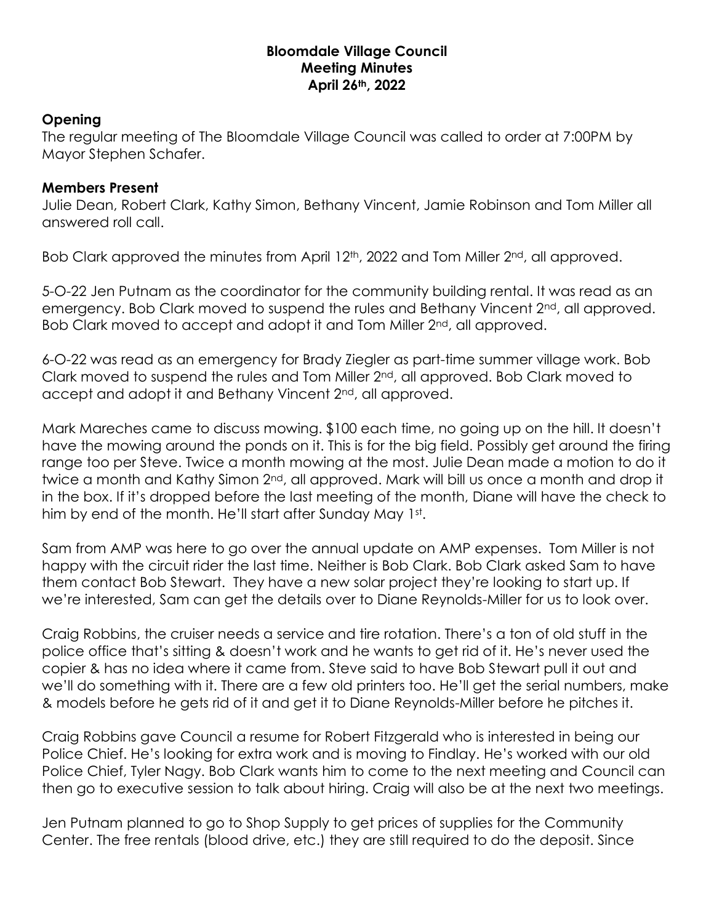## **Bloomdale Village Council Meeting Minutes April 26th, 2022**

## **Opening**

The regular meeting of The Bloomdale Village Council was called to order at 7:00PM by Mayor Stephen Schafer.

## **Members Present**

Julie Dean, Robert Clark, Kathy Simon, Bethany Vincent, Jamie Robinson and Tom Miller all answered roll call.

Bob Clark approved the minutes from April 12<sup>th</sup>, 2022 and Tom Miller 2<sup>nd</sup>, all approved.

5-O-22 Jen Putnam as the coordinator for the community building rental. It was read as an emergency. Bob Clark moved to suspend the rules and Bethany Vincent 2<sup>nd</sup>, all approved. Bob Clark moved to accept and adopt it and Tom Miller 2nd, all approved.

6-O-22 was read as an emergency for Brady Ziegler as part-time summer village work. Bob Clark moved to suspend the rules and Tom Miller 2nd, all approved. Bob Clark moved to accept and adopt it and Bethany Vincent 2<sup>nd</sup>, all approved.

Mark Mareches came to discuss mowing. \$100 each time, no going up on the hill. It doesn't have the mowing around the ponds on it. This is for the big field. Possibly get around the firing range too per Steve. Twice a month mowing at the most. Julie Dean made a motion to do it twice a month and Kathy Simon 2<sup>nd</sup>, all approved. Mark will bill us once a month and drop it in the box. If it's dropped before the last meeting of the month, Diane will have the check to him by end of the month. He'll start after Sunday May 1st.

Sam from AMP was here to go over the annual update on AMP expenses. Tom Miller is not happy with the circuit rider the last time. Neither is Bob Clark. Bob Clark asked Sam to have them contact Bob Stewart. They have a new solar project they're looking to start up. If we're interested, Sam can get the details over to Diane Reynolds-Miller for us to look over.

Craig Robbins, the cruiser needs a service and tire rotation. There's a ton of old stuff in the police office that's sitting & doesn't work and he wants to get rid of it. He's never used the copier & has no idea where it came from. Steve said to have Bob Stewart pull it out and we'll do something with it. There are a few old printers too. He'll get the serial numbers, make & models before he gets rid of it and get it to Diane Reynolds-Miller before he pitches it.

Craig Robbins gave Council a resume for Robert Fitzgerald who is interested in being our Police Chief. He's looking for extra work and is moving to Findlay. He's worked with our old Police Chief, Tyler Nagy. Bob Clark wants him to come to the next meeting and Council can then go to executive session to talk about hiring. Craig will also be at the next two meetings.

Jen Putnam planned to go to Shop Supply to get prices of supplies for the Community Center. The free rentals (blood drive, etc.) they are still required to do the deposit. Since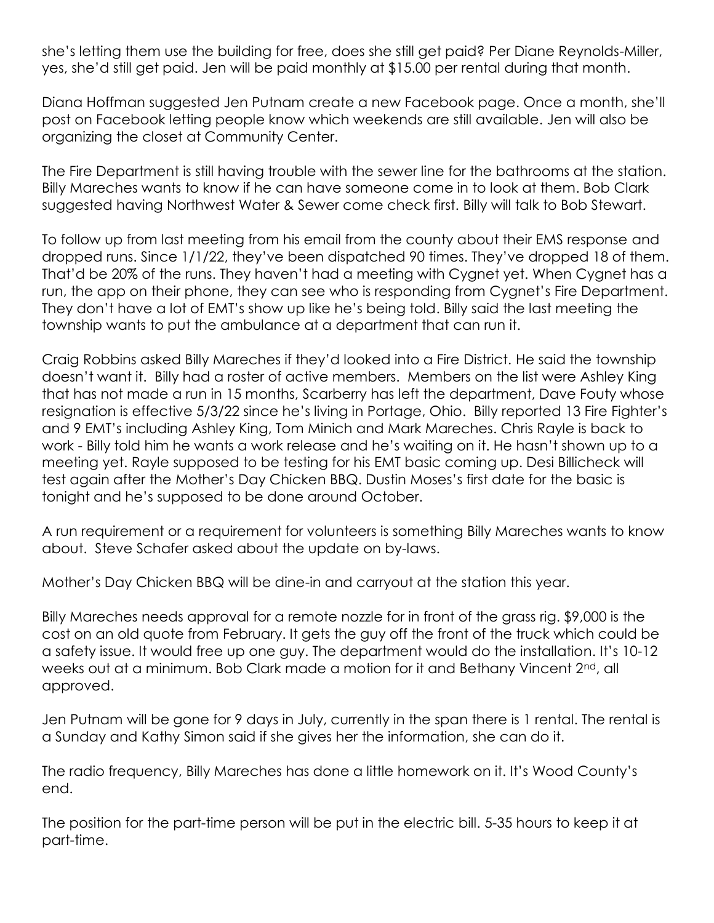she's letting them use the building for free, does she still get paid? Per Diane Reynolds-Miller, yes, she'd still get paid. Jen will be paid monthly at \$15.00 per rental during that month.

Diana Hoffman suggested Jen Putnam create a new Facebook page. Once a month, she'll post on Facebook letting people know which weekends are still available. Jen will also be organizing the closet at Community Center.

The Fire Department is still having trouble with the sewer line for the bathrooms at the station. Billy Mareches wants to know if he can have someone come in to look at them. Bob Clark suggested having Northwest Water & Sewer come check first. Billy will talk to Bob Stewart.

To follow up from last meeting from his email from the county about their EMS response and dropped runs. Since 1/1/22, they've been dispatched 90 times. They've dropped 18 of them. That'd be 20% of the runs. They haven't had a meeting with Cygnet yet. When Cygnet has a run, the app on their phone, they can see who is responding from Cygnet's Fire Department. They don't have a lot of EMT's show up like he's being told. Billy said the last meeting the township wants to put the ambulance at a department that can run it.

Craig Robbins asked Billy Mareches if they'd looked into a Fire District. He said the township doesn't want it. Billy had a roster of active members. Members on the list were Ashley King that has not made a run in 15 months, Scarberry has left the department, Dave Fouty whose resignation is effective 5/3/22 since he's living in Portage, Ohio. Billy reported 13 Fire Fighter's and 9 EMT's including Ashley King, Tom Minich and Mark Mareches. Chris Rayle is back to work - Billy told him he wants a work release and he's waiting on it. He hasn't shown up to a meeting yet. Rayle supposed to be testing for his EMT basic coming up. Desi Billicheck will test again after the Mother's Day Chicken BBQ. Dustin Moses's first date for the basic is tonight and he's supposed to be done around October.

A run requirement or a requirement for volunteers is something Billy Mareches wants to know about. Steve Schafer asked about the update on by-laws.

Mother's Day Chicken BBQ will be dine-in and carryout at the station this year.

Billy Mareches needs approval for a remote nozzle for in front of the grass rig. \$9,000 is the cost on an old quote from February. It gets the guy off the front of the truck which could be a safety issue. It would free up one guy. The department would do the installation. It's 10-12 weeks out at a minimum. Bob Clark made a motion for it and Bethany Vincent 2<sup>nd</sup>, all approved.

Jen Putnam will be gone for 9 days in July, currently in the span there is 1 rental. The rental is a Sunday and Kathy Simon said if she gives her the information, she can do it.

The radio frequency, Billy Mareches has done a little homework on it. It's Wood County's end.

The position for the part-time person will be put in the electric bill. 5-35 hours to keep it at part-time.